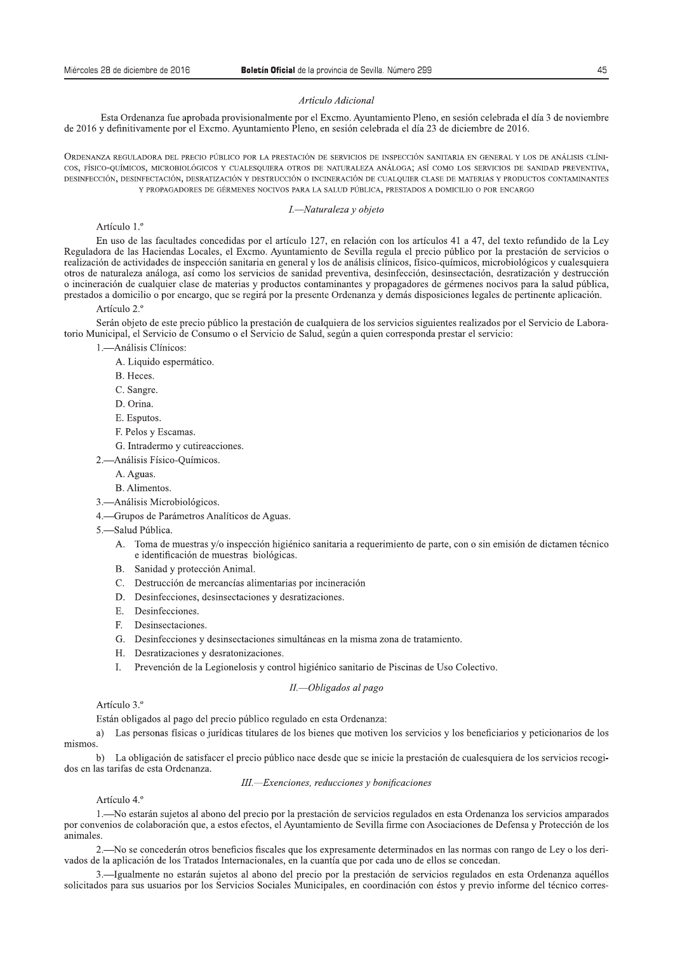Miércoles 28 de diciembre de 2016<br>**Boletín Oficial** de la provincia de Sevilla. Número 299<br>*Artículo Adicional*<br>de 2016 y definitivamente por el Exemo. Ayuntamiento Pleno, en sesión celebrada el día 23 de diciembre de 2016

COS, FÍSICO-QUÍMICOS, MICROBIOLÓGICOS Y CUALESQUIERA OTROS DE NATURALEZA ANÁLOGA; ASÍ COMO LOS SERVICIOS DE SANIDAD PREVENTIVA, DESINFECCIÓN, DESINFECTACIÓN, DESRATIZACIÓN Y DESTRUCCIÓN O INCINERACIÓN DE CUALQUIER CLASE DE MATERIAS Y PRODUCTOS CONTAMINANTES Y PROPAGADORES DE GÉRMENES NOCIVOS PARA LA SALUD PÚBLICA, PRESTADOS A DOMICILIO O POR ENCARGO

### I.-Naturaleza y objeto

### Artículo 1.º

En uso de las facultades concedidas por el artículo 127, en relación con los artículos 41 a 47, del texto refundido de la Ley Reguladora de las Haciendas Locales, el Excmo. Avuntamiento de Sevilla regula el precio público por la prestación de servicios o realización de actividades de inspección sanitaria en general y los de análisis clínicos, físico-químicos, microbiológicos y cualesquiera otros de naturaleza análoga, así como los servicios de sanidad preventiva, desinfección, desinsectación, desratización y destrucción o incineración de cualquier clase de materias y productos contaminantes y propagadores de gérmenes nocivos para la salud pública, prestados a domicilio o por encargo, que se regirá por la presente Ordenanza y demás disposiciones legales de pertinente aplicación.

### Artículo 2.º

Serán objeto de este precio público la prestación de cualquiera de los servicios siguientes realizados por el Servicio de Laboratorio Municipal, el Servicio de Consumo o el Servicio de Salud, según a quien corresponda prestar el servicio:

- 1. Análisis Clínicos:
	- A. Liquido espermático.
	- B. Heces.
	- C. Sangre.
	- D. Orina.
	- E. Esputos.
	- F. Pelos y Escamas.
	- G. Intradermo y cutireacciones.
- 2.- Análisis Físico-Químicos.
	- A. Aguas.
	- B. Alimentos.
- 3.-Análisis Microbiológicos.
- 4. Grupos de Parámetros Analíticos de Aguas.
- 5. Salud Pública.
	- A. Toma de muestras y/o inspección higiénico sanitaria a requerimiento de parte, con o sin emisión de dictamen técnico e identificación de muestras biológicas.
	- B. Sanidad y protección Animal.
	- C. Destrucción de mercancías alimentarias por incineración
	- D. Desinfecciones, desinsectaciones y desratizaciones.
	- E. Desinfecciones.
	- F. Desinsectaciones.
	- G. Desinfecciones y desinsectaciones simultáneas en la misma zona de tratamiento.
	- H. Desratizaciones y desratonizaciones.
	- I. Prevención de la Legionelosis y control higiénico sanitario de Piscinas de Uso Colectivo.

## II.-Obligados al pago

### Artículo 3.º

Están obligados al pago del precio público regulado en esta Ordenanza:

a) Las personas físicas o jurídicas titulares de los bienes que motiven los servicios y los beneficiarios y peticionarios de los mismos.

b) La obligación de satisfacer el precio público nace desde que se inicie la prestación de cualesquiera de los servicios recogidos en las tarifas de esta Ordenanza.

### III.-Exenciones, reducciones y bonificaciones

### Artículo 4.º

1.—No estarán sujetos al abono del precio por la prestación de servicios regulados en esta Ordenanza los servicios amparados por convenios de colaboración que, a estos efectos, el Ayuntamiento de Sevilla firme con Asociaciones de Defensa y Protección de los animales.

2.—No se concederán otros beneficios fiscales que los expresamente determinados en las normas con rango de Ley o los derivados de la aplicación de los Tratados Internacionales, en la cuantía que por cada uno de ellos se concedan.

-Igualmente no estarán sujetos al abono del precio por la prestación de servicios regulados en esta Ordenanza aquéllos solicitados para sus usuarios por los Servicios Sociales Municipales, en coordinación con éstos y previo informe del técnico corres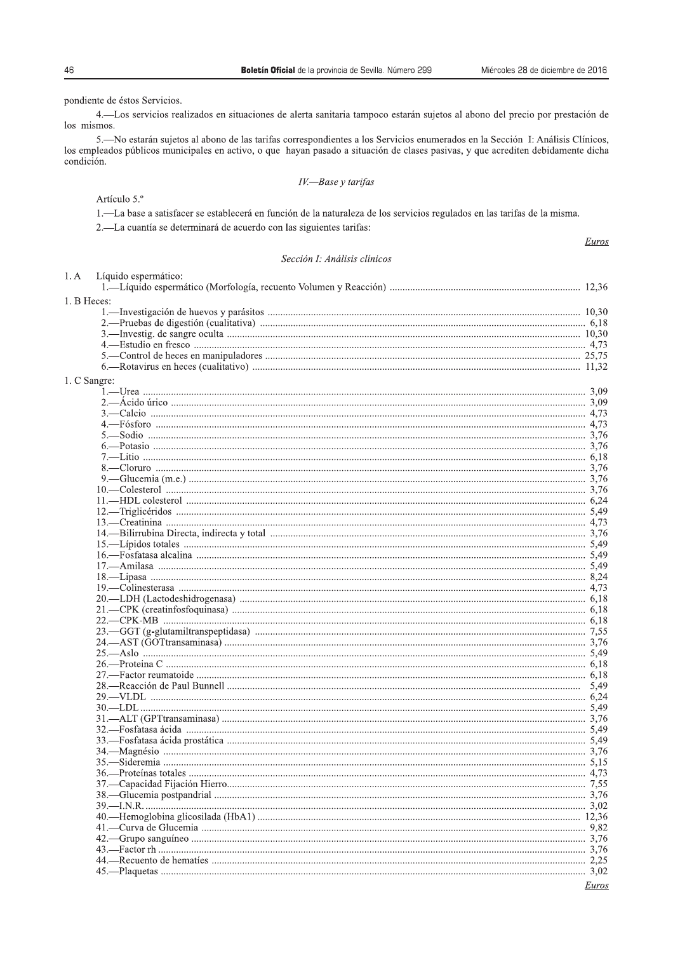pondiente de éstos Servicios.

4. Los servicios realizados en situaciones de alerta sanitaria tampoco estarán sujetos al abono del precio por prestación de los mismos.

5.—No estarán sujetos al abono de las tarifas correspondientes a los Servicios enumerados en la Sección I: Análisis Clínicos, los empleados públicos municipales en activo, o que hayan pasado a situación de clases pasivas, y que acrediten debidamente dicha condición.

Artículo 5.º

Líquido espermático:

1.—La base a satisfacer se establecerá en función de la naturaleza de los servicios regulados en las tarifas de la misma.

2.-La cuantía se determinará de acuerdo con las siguientes tarifas:

Euros

# Sección I: Análisis clínicos

| 1. B Heces:  |       |
|--------------|-------|
|              |       |
|              |       |
|              |       |
|              |       |
|              |       |
|              |       |
| 1. C Sangre: |       |
|              |       |
|              |       |
|              |       |
|              |       |
|              |       |
|              |       |
|              |       |
|              |       |
|              |       |
|              |       |
|              |       |
|              |       |
|              |       |
|              |       |
|              |       |
|              |       |
|              |       |
|              |       |
|              |       |
|              |       |
|              |       |
|              |       |
|              |       |
|              |       |
|              |       |
|              |       |
|              |       |
|              |       |
|              | 5.49  |
|              |       |
|              |       |
|              |       |
|              |       |
|              |       |
|              |       |
|              |       |
|              |       |
|              |       |
|              |       |
|              |       |
|              |       |
|              |       |
|              |       |
|              |       |
|              |       |
|              |       |
|              |       |
|              | Euros |

 $1. A$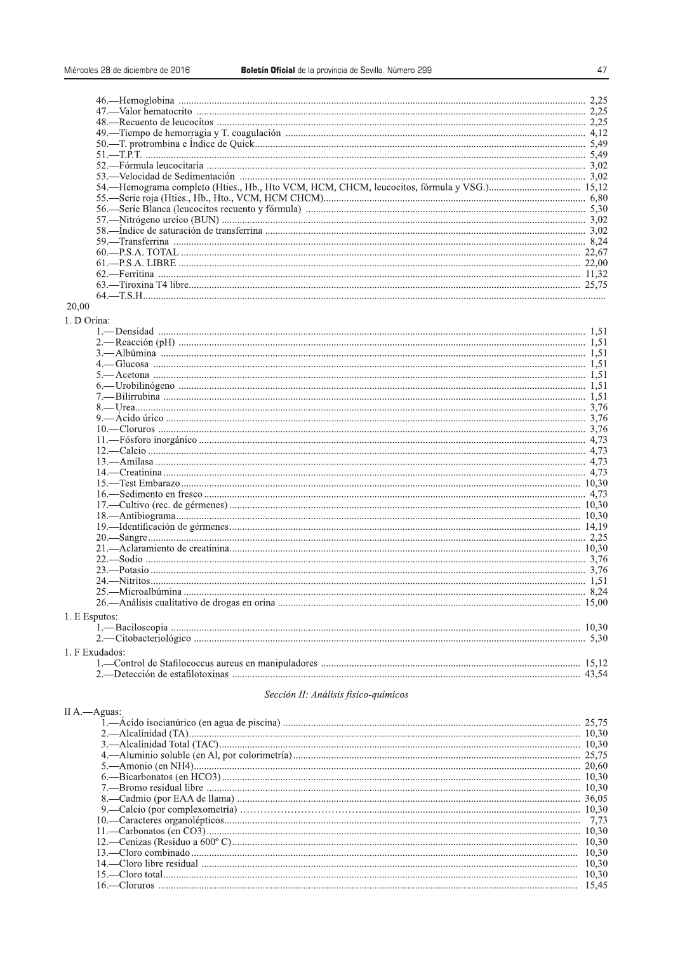| 53.—Velocidad de Sedimentación musulmanaminalmente contra a material de Sedimentación musulmanamina a 3.02 |  |
|------------------------------------------------------------------------------------------------------------|--|
|                                                                                                            |  |
|                                                                                                            |  |
|                                                                                                            |  |
|                                                                                                            |  |
|                                                                                                            |  |
|                                                                                                            |  |
|                                                                                                            |  |
|                                                                                                            |  |
|                                                                                                            |  |
|                                                                                                            |  |
|                                                                                                            |  |

# 20.00

1. D Orina:

| 1. E Esputos:  |  |
|----------------|--|
|                |  |
|                |  |
| 1. F Exudados: |  |
|                |  |
|                |  |

### Sección II: Análisis físico-químicos

### II A. - Aguas: 10,30

47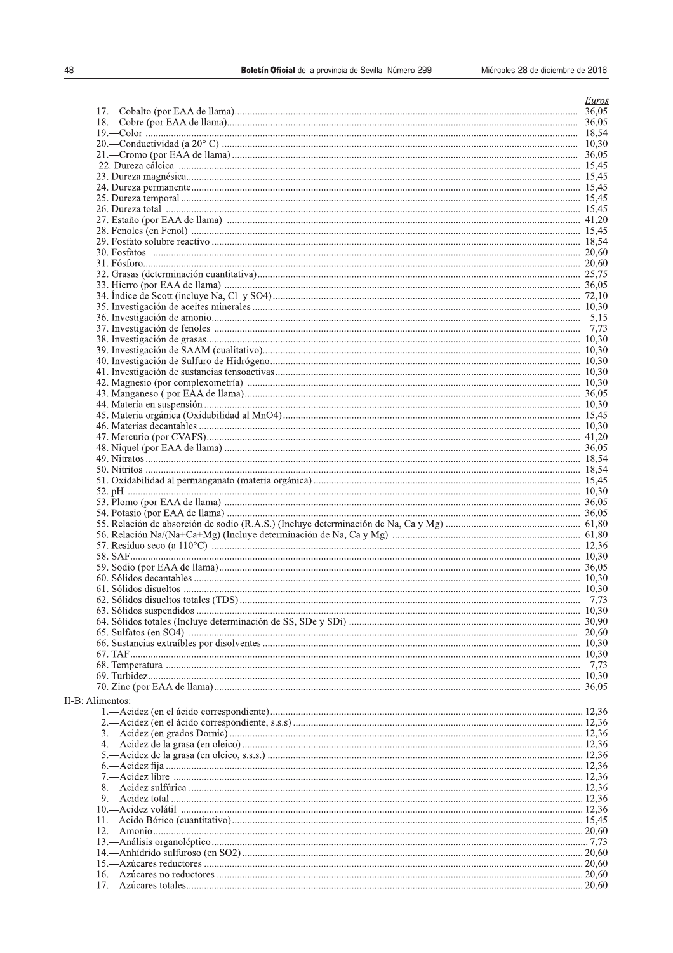| 48               | Boletín Oficial de la provincia de Sevilla. Número 299<br>Miércoles 28 de diciembre de 2016 |       |
|------------------|---------------------------------------------------------------------------------------------|-------|
|                  |                                                                                             |       |
|                  |                                                                                             | Euros |
|                  |                                                                                             |       |
|                  |                                                                                             |       |
|                  |                                                                                             |       |
|                  |                                                                                             |       |
|                  |                                                                                             |       |
|                  |                                                                                             |       |
|                  |                                                                                             |       |
|                  |                                                                                             |       |
|                  |                                                                                             |       |
|                  |                                                                                             |       |
|                  |                                                                                             |       |
|                  |                                                                                             |       |
|                  |                                                                                             |       |
|                  |                                                                                             |       |
|                  |                                                                                             |       |
|                  |                                                                                             |       |
|                  |                                                                                             |       |
|                  |                                                                                             |       |
|                  |                                                                                             |       |
|                  |                                                                                             |       |
|                  |                                                                                             |       |
|                  |                                                                                             |       |
|                  |                                                                                             |       |
|                  |                                                                                             |       |
|                  |                                                                                             |       |
|                  |                                                                                             |       |
|                  |                                                                                             |       |
|                  |                                                                                             |       |
|                  |                                                                                             |       |
|                  |                                                                                             |       |
|                  |                                                                                             |       |
|                  |                                                                                             |       |
|                  |                                                                                             |       |
|                  |                                                                                             |       |
|                  |                                                                                             |       |
|                  |                                                                                             |       |
|                  |                                                                                             |       |
|                  |                                                                                             |       |
|                  |                                                                                             |       |
|                  |                                                                                             |       |
|                  |                                                                                             |       |
|                  |                                                                                             |       |
|                  |                                                                                             |       |
| II-B: Alimentos: |                                                                                             |       |
|                  |                                                                                             |       |
|                  |                                                                                             |       |
|                  |                                                                                             |       |
|                  |                                                                                             |       |
|                  |                                                                                             |       |
|                  |                                                                                             |       |
|                  |                                                                                             |       |
|                  |                                                                                             |       |
|                  |                                                                                             |       |
|                  |                                                                                             |       |
|                  |                                                                                             |       |
|                  |                                                                                             |       |
|                  |                                                                                             |       |
|                  |                                                                                             |       |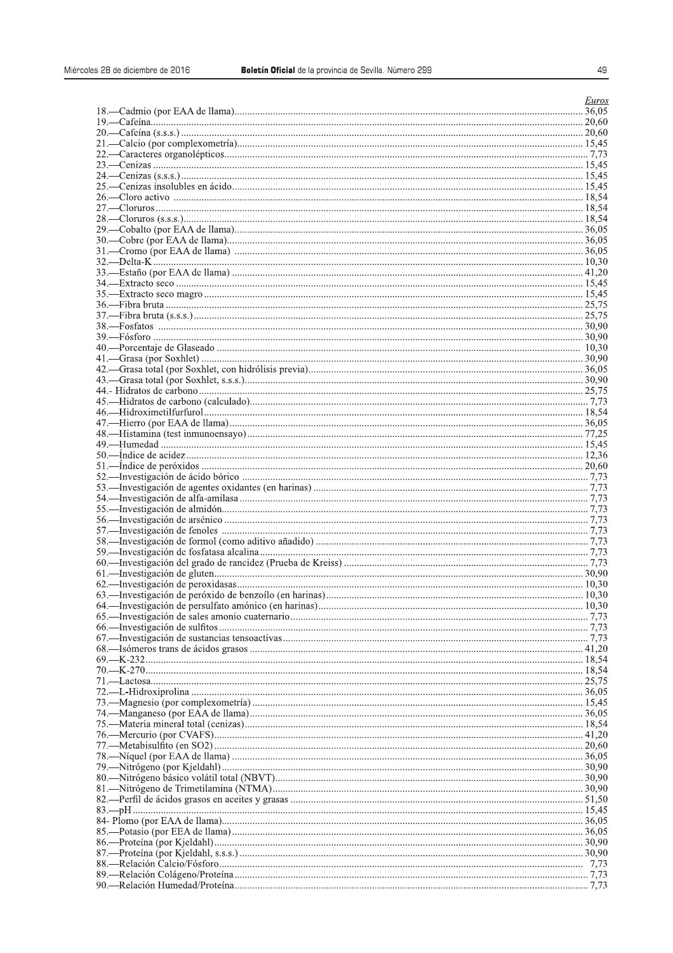| es 28 de diciembre de 2016 | Boletín Oficial de la provincia de Sevilla. Número 299 | 49    |
|----------------------------|--------------------------------------------------------|-------|
|                            |                                                        |       |
|                            |                                                        | Euros |
|                            |                                                        |       |
|                            |                                                        |       |
|                            |                                                        |       |
|                            |                                                        |       |
|                            |                                                        |       |
|                            |                                                        |       |
|                            |                                                        |       |
|                            |                                                        |       |
|                            |                                                        |       |
|                            |                                                        |       |
|                            |                                                        |       |
|                            |                                                        |       |
|                            |                                                        |       |
|                            |                                                        |       |
|                            |                                                        |       |
|                            |                                                        |       |
|                            |                                                        |       |
|                            |                                                        |       |
|                            |                                                        |       |
|                            |                                                        |       |
|                            |                                                        |       |
|                            |                                                        |       |
|                            |                                                        |       |
|                            |                                                        |       |
|                            |                                                        |       |
|                            |                                                        |       |
|                            |                                                        |       |
|                            |                                                        |       |
|                            |                                                        |       |
|                            |                                                        |       |
|                            |                                                        |       |
|                            |                                                        |       |
|                            |                                                        |       |
|                            |                                                        |       |
|                            |                                                        |       |
|                            |                                                        |       |
|                            |                                                        |       |
|                            |                                                        |       |
|                            |                                                        |       |
|                            |                                                        |       |
|                            |                                                        |       |
|                            |                                                        |       |
|                            |                                                        |       |
|                            |                                                        |       |
|                            |                                                        |       |
|                            |                                                        |       |
|                            |                                                        |       |
|                            |                                                        |       |
|                            |                                                        |       |
|                            |                                                        |       |
|                            |                                                        |       |
|                            |                                                        |       |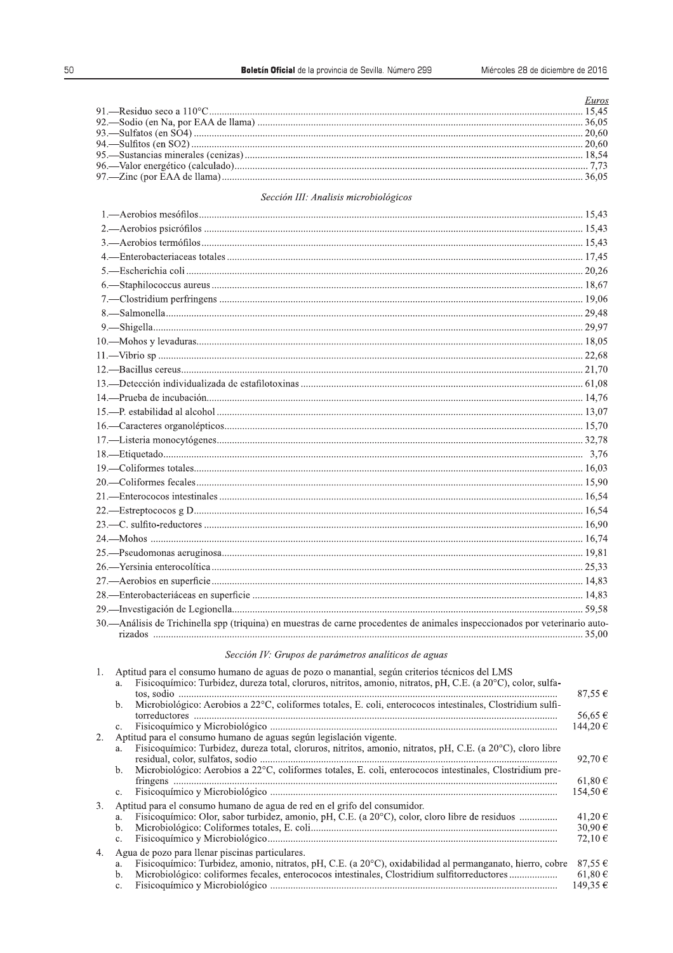| <i>Euros</i> |
|--------------|
|              |
|              |
|              |
|              |
|              |
|              |
|              |
|              |

# Sección III: Analisis microbiológicos

| 30. Análisis de Trichinella spp (triquina) en muestras de carne procedentes de animales inspeccionados por veterinario auto- |  |
|------------------------------------------------------------------------------------------------------------------------------|--|

Sección IV: Grupos de parámetros analíticos de aguas

| 1. | Aptitud para el consumo humano de aguas de pozo o manantial, según criterios técnicos del LMS<br>Fisicoquímico: Turbidez, dureza total, cloruros, nitritos, amonio, nitratos, pH, C.E. (a 20°C), color, sulfa-<br>a.<br>Microbiológico: Aerobios a 22°C, coliformes totales, E. coli, enterococos intestinales, Clostridium sulfi-<br>b. | 87,55 $\epsilon$<br>56,65 €               |
|----|------------------------------------------------------------------------------------------------------------------------------------------------------------------------------------------------------------------------------------------------------------------------------------------------------------------------------------------|-------------------------------------------|
| 2. | $\mathbf{c}$ .<br>Aptitud para el consumo humano de aguas según legislación vigente.<br>Fisicoquímico: Turbidez, dureza total, cloruros, nitritos, amonio, nitratos, pH, C.E. (a 20°C), cloro libre<br>a.                                                                                                                                | 144.20€<br>92.70 $\in$                    |
|    | Microbiológico: Aerobios a 22°C, coliformes totales, E. coli, enterococos intestinales, Clostridium pre-<br>b.<br>$\mathbf{c}$ .                                                                                                                                                                                                         | 61,80 €<br>154,50€                        |
| 3. | Aptitud para el consumo humano de agua de red en el grifo del consumidor.<br>Fisicoquímico: Olor, sabor turbidez, amonio, pH, C.E. (a 20°C), color, cloro libre de residuos<br>a.<br>b.<br>C <sub>1</sub>                                                                                                                                | 41,20 $\epsilon$<br>30,90€<br>72.10 $\in$ |
| 4. | Agua de pozo para llenar piscinas particulares.<br>Fisicoquímico: Turbidez, amonio, nitratos, pH, C.E. (a 20 <sup>o</sup> C), oxidabilidad al permanganato, hierro, cobre<br>a.<br>Microbiológico: coliformes fecales, enterococos intestinales, Clostridium sulfitorreductores<br>b.<br>c.                                              | 87,55 $\in$<br>$61,80 \in$<br>149,35 €    |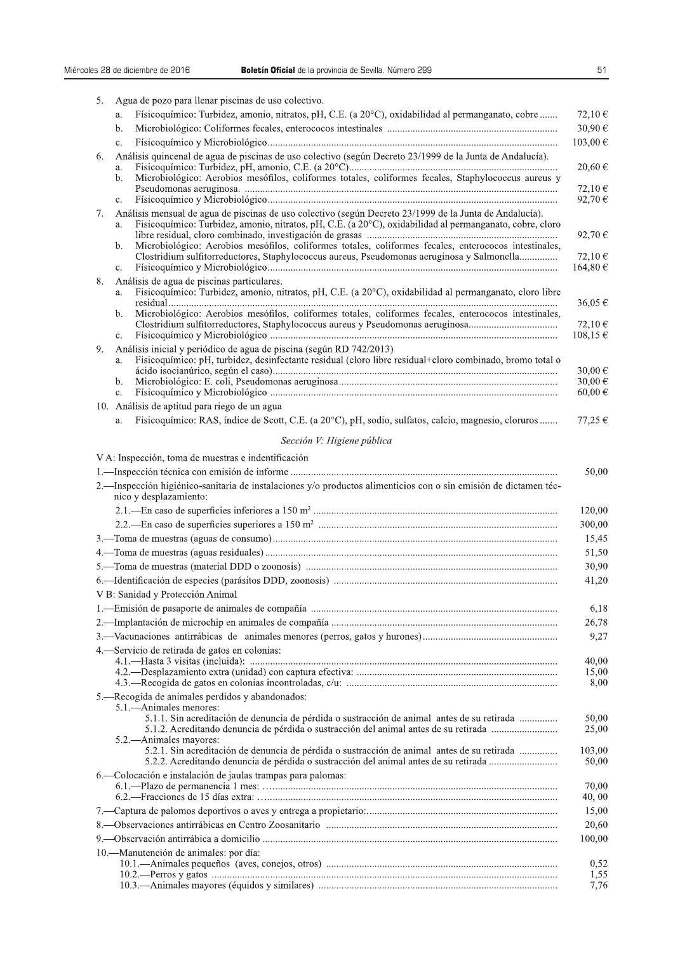5. Agua de pozo para llenar piscinas de uso colectivo.

|    | a.             | Físicoquímico: Turbidez, amonio, nitratos, pH, C.E. (a 20°C), oxidabilidad al permanganato, cobre                                                                                                                                                                                                                                                                                                                          | 72,10 €                               |
|----|----------------|----------------------------------------------------------------------------------------------------------------------------------------------------------------------------------------------------------------------------------------------------------------------------------------------------------------------------------------------------------------------------------------------------------------------------|---------------------------------------|
|    | b.             |                                                                                                                                                                                                                                                                                                                                                                                                                            | 30,90€                                |
|    | c.             |                                                                                                                                                                                                                                                                                                                                                                                                                            | 103,00€                               |
| 6. | a.<br>b.       | Análisis quincenal de agua de piscinas de uso colectivo (según Decreto 23/1999 de la Junta de Andalucía).<br>Microbiológico: Aerobios mesófilos, coliformes totales, coliformes fecales, Staphylococcus aureus y                                                                                                                                                                                                           | $20,60 \in$                           |
|    | $\mathbf{c}$ . |                                                                                                                                                                                                                                                                                                                                                                                                                            | 72.10€<br>92,70 $\in$                 |
| 7. | a.<br>b.       | Análisis mensual de agua de piscinas de uso colectivo (según Decreto 23/1999 de la Junta de Andalucía).<br>Fisicoquímico: Turbidez, amonio, nitratos, pH, C.E. (a 20°C), oxidabilidad al permanganato, cobre, cloro<br>Microbiológico: Aerobios mesófilos, coliformes totales, coliformes fecales, enterococos intestinales,<br>Clostridium sulfitorreductores, Staphylococcus aureus, Pseudomonas aeruginosa y Salmonella | 92,70 $\in$<br>72,10 $\in$            |
|    | c.             |                                                                                                                                                                                                                                                                                                                                                                                                                            | 164,80 €                              |
| 8. | a.             | Análisis de agua de piscinas particulares.<br>Fisicoquímico: Turbidez, amonio, nitratos, pH, C.E. (a 20°C), oxidabilidad al permanganato, cloro libre                                                                                                                                                                                                                                                                      | 36,05€                                |
|    | b.<br>c.       | Microbiológico: Aerobios mesófilos, coliformes totales, coliformes fecales, enterococos intestinales,<br>Clostridium sulfitorreductores, Staphylococcus aureus y Pseudomonas aeruginosa                                                                                                                                                                                                                                    | 72,10 $\in$<br>108,15€                |
| 9. | a.<br>b.       | Análisis inicial y periódico de agua de piscina (según RD 742/2013)<br>Fisicoquímico: pH, turbidez, desinfectante residual (cloro libre residual+cloro combinado, bromo total o                                                                                                                                                                                                                                            | 30,00 $\in$<br>30,00 €<br>$60,00 \in$ |
|    | c.             | 10. Análisis de aptitud para riego de un agua                                                                                                                                                                                                                                                                                                                                                                              |                                       |
|    | a.             | Fisicoquímico: RAS, índice de Scott, C.E. (a 20°C), pH, sodio, sulfatos, calcio, magnesio, cloruros                                                                                                                                                                                                                                                                                                                        | 77,25€                                |
|    |                | Sección V: Higiene pública                                                                                                                                                                                                                                                                                                                                                                                                 |                                       |
|    |                | V A: Inspección, toma de muestras e indentificación                                                                                                                                                                                                                                                                                                                                                                        |                                       |
|    |                |                                                                                                                                                                                                                                                                                                                                                                                                                            | 50,00                                 |
|    |                | 2. - Inspección higiénico-sanitaria de instalaciones y/o productos alimenticios con o sin emisión de dictamen téc-<br>nico y desplazamiento:                                                                                                                                                                                                                                                                               |                                       |
|    |                |                                                                                                                                                                                                                                                                                                                                                                                                                            | 120,00                                |
|    |                |                                                                                                                                                                                                                                                                                                                                                                                                                            | 300,00                                |
|    |                |                                                                                                                                                                                                                                                                                                                                                                                                                            | 15,45                                 |
|    |                |                                                                                                                                                                                                                                                                                                                                                                                                                            | 51,50                                 |
|    |                |                                                                                                                                                                                                                                                                                                                                                                                                                            | 30,90                                 |
|    |                |                                                                                                                                                                                                                                                                                                                                                                                                                            | 41,20                                 |
|    |                | V B: Sanidad y Protección Animal                                                                                                                                                                                                                                                                                                                                                                                           |                                       |
|    |                |                                                                                                                                                                                                                                                                                                                                                                                                                            | 6,18                                  |
|    |                |                                                                                                                                                                                                                                                                                                                                                                                                                            | 26,78                                 |
|    |                |                                                                                                                                                                                                                                                                                                                                                                                                                            | 9,27                                  |
|    |                | 4. Servicio de retirada de gatos en colonias:                                                                                                                                                                                                                                                                                                                                                                              |                                       |
|    |                |                                                                                                                                                                                                                                                                                                                                                                                                                            | 40,00                                 |
|    |                |                                                                                                                                                                                                                                                                                                                                                                                                                            | 15,00<br>8,00                         |
|    |                | 5. Recogida de animales perdidos y abandonados:                                                                                                                                                                                                                                                                                                                                                                            |                                       |
|    |                | 5.1.—Animales menores:                                                                                                                                                                                                                                                                                                                                                                                                     |                                       |
|    |                | 5.1.1. Sin acreditación de denuncia de pérdida o sustracción de animal antes de su retirada<br>5.1.2. Acreditando denuncia de pérdida o sustracción del animal antes de su retirada<br>5.2.—Animales mayores:                                                                                                                                                                                                              | 50,00<br>25,00                        |
|    |                | 5.2.1. Sin acreditación de denuncia de pérdida o sustracción de animal antes de su retirada<br>5.2.2. Acreditando denuncia de pérdida o sustracción del animal antes de su retirada                                                                                                                                                                                                                                        | 103,00<br>50,00                       |
|    |                | 6. - Colocación e instalación de jaulas trampas para palomas:                                                                                                                                                                                                                                                                                                                                                              |                                       |
|    |                |                                                                                                                                                                                                                                                                                                                                                                                                                            | 70,00                                 |
|    |                |                                                                                                                                                                                                                                                                                                                                                                                                                            | 40,00                                 |
|    |                |                                                                                                                                                                                                                                                                                                                                                                                                                            | 15,00                                 |
|    |                |                                                                                                                                                                                                                                                                                                                                                                                                                            | 20,60                                 |

10. Manutención de animales: por día: 0,52  $1,55$ 7,76

100,00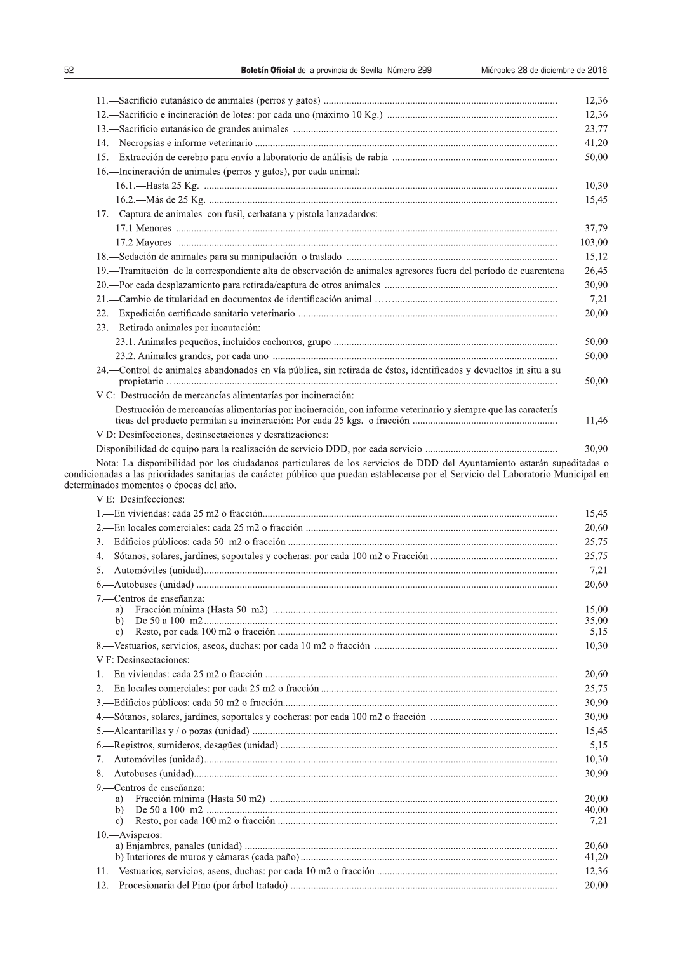|                                                                                                                        | 12,36                                                                                         |
|------------------------------------------------------------------------------------------------------------------------|-----------------------------------------------------------------------------------------------|
|                                                                                                                        | 12,36                                                                                         |
|                                                                                                                        | 23,77                                                                                         |
|                                                                                                                        | 41,20                                                                                         |
|                                                                                                                        | 50,00                                                                                         |
| 16. Incineración de animales (perros y gatos), por cada animal:                                                        |                                                                                               |
|                                                                                                                        | 10,30                                                                                         |
|                                                                                                                        | 15,45                                                                                         |
| 17. - Captura de animales con fusil, cerbatana y pistola lanzadardos:                                                  |                                                                                               |
|                                                                                                                        | 37,79                                                                                         |
|                                                                                                                        | 103,00                                                                                        |
|                                                                                                                        | 15,12                                                                                         |
| 19. Tramitación de la correspondiente alta de observación de animales agresores fuera del período de cuarentena        | 26,45                                                                                         |
|                                                                                                                        | 30,90                                                                                         |
|                                                                                                                        | 7,21                                                                                          |
|                                                                                                                        | 20,00                                                                                         |
| 23.—Retirada animales por incautación:                                                                                 |                                                                                               |
|                                                                                                                        | 50,00                                                                                         |
|                                                                                                                        | 50,00                                                                                         |
| 24. Control de animales abandonados en vía pública, sin retirada de éstos, identificados y devueltos in situ a su      | 50,00                                                                                         |
| V C: Destrucción de mercancías alimentarías por incineración:                                                          |                                                                                               |
| — Destrucción de mercancías alimentarías por incineración, con informe veterinario y siempre que las caracterís-       |                                                                                               |
|                                                                                                                        | 11,46                                                                                         |
| V D: Desinfecciones, desinsectaciones y desratizaciones:                                                               |                                                                                               |
| Nota: La disponibilidad por los ciudadanos particulares de los servicios de DDD del Ayuntamiento estarán supeditadas o | 30,90                                                                                         |
| V E: Desinfecciones:                                                                                                   | 15,45                                                                                         |
|                                                                                                                        | 20,60                                                                                         |
|                                                                                                                        | 25,75                                                                                         |
|                                                                                                                        | 25,75                                                                                         |
|                                                                                                                        | 7,21                                                                                          |
|                                                                                                                        | 20,60                                                                                         |
| ---Centros de enseñanza:                                                                                               |                                                                                               |
| a)                                                                                                                     | 15,00                                                                                         |
| b)                                                                                                                     | 35,00                                                                                         |
| c)                                                                                                                     | 5,15                                                                                          |
|                                                                                                                        | 10,30                                                                                         |
|                                                                                                                        | 20,60                                                                                         |
| V F: Desinsectaciones:                                                                                                 | 25,75                                                                                         |
|                                                                                                                        |                                                                                               |
|                                                                                                                        |                                                                                               |
|                                                                                                                        |                                                                                               |
|                                                                                                                        |                                                                                               |
|                                                                                                                        |                                                                                               |
|                                                                                                                        |                                                                                               |
|                                                                                                                        |                                                                                               |
|                                                                                                                        |                                                                                               |
| 9. - Centros de enseñanza:<br>a)                                                                                       |                                                                                               |
| b)                                                                                                                     |                                                                                               |
| c)                                                                                                                     |                                                                                               |
| 10. Avisperos:                                                                                                         |                                                                                               |
|                                                                                                                        |                                                                                               |
|                                                                                                                        | 30,90<br>30,90<br>15,45<br>5,15<br>10,30<br>30,90<br>20,00<br>40,00<br>7,21<br>20,60<br>41,20 |
|                                                                                                                        | 12,36<br>20,00                                                                                |